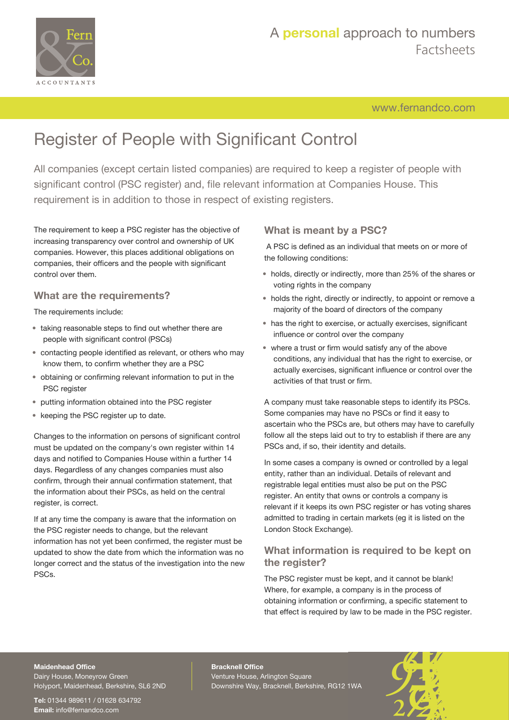

## A **personal** approach to numbers Factsheets

[www.fernandco.com](http://www.fernandco.com)

# Register of People with Significant Control

All companies (except certain listed companies) are required to keep a register of people with significant control (PSC register) and, file relevant information at Companies House. This requirement is in addition to those in respect of existing registers.

The requirement to keep a PSC register has the objective of increasing transparency over control and ownership of UK companies. However, this places additional obligations on companies, their officers and the people with significant control over them.

#### **What are the requirements?**

The requirements include:

- taking reasonable steps to find out whether there are people with significant control (PSCs)
- contacting people identified as relevant, or others who may know them, to confirm whether they are a PSC
- obtaining or confirming relevant information to put in the PSC register
- putting information obtained into the PSC register
- keeping the PSC register up to date.

Changes to the information on persons of significant control must be updated on the company's own register within 14 days and notified to Companies House within a further 14 days. Regardless of any changes companies must also confirm, through their annual confirmation statement, that the information about their PSCs, as held on the central register, is correct.

If at any time the company is aware that the information on the PSC register needs to change, but the relevant information has not yet been confirmed, the register must be updated to show the date from which the information was no longer correct and the status of the investigation into the new PSCs.

#### **What is meant by a PSC?**

A PSC is defined as an individual that meets on or more of the following conditions:

- holds, directly or indirectly, more than 25% of the shares or voting rights in the company
- holds the right, directly or indirectly, to appoint or remove a majority of the board of directors of the company
- has the right to exercise, or actually exercises, significant influence or control over the company
- where a trust or firm would satisfy any of the above conditions, any individual that has the right to exercise, or actually exercises, significant influence or control over the activities of that trust or firm.

A company must take reasonable steps to identify its PSCs. Some companies may have no PSCs or find it easy to ascertain who the PSCs are, but others may have to carefully follow all the steps laid out to try to establish if there are any PSCs and, if so, their identity and details.

In some cases a company is owned or controlled by a legal entity, rather than an individual. Details of relevant and registrable legal entities must also be put on the PSC register. An entity that owns or controls a company is relevant if it keeps its own PSC register or has voting shares admitted to trading in certain markets (eg it is listed on the London Stock Exchange).

#### **What information is required to be kept on the register?**

The PSC register must be kept, and it cannot be blank! Where, for example, a company is in the process of obtaining information or confirming, a specific statement to that effect is required by law to be made in the PSC register.

#### **Maidenhead Office**

Dairy House, Moneyrow Green Holyport, Maidenhead, Berkshire, SL6 2ND

**Tel:** 01344 989611 / 01628 634792 **Email:** [info@fernandco.com](mailto:info@fernandco.com)

**Bracknell Office** Venture House, Arlington Square Downshire Way, Bracknell, Berkshire, RG12 1WA

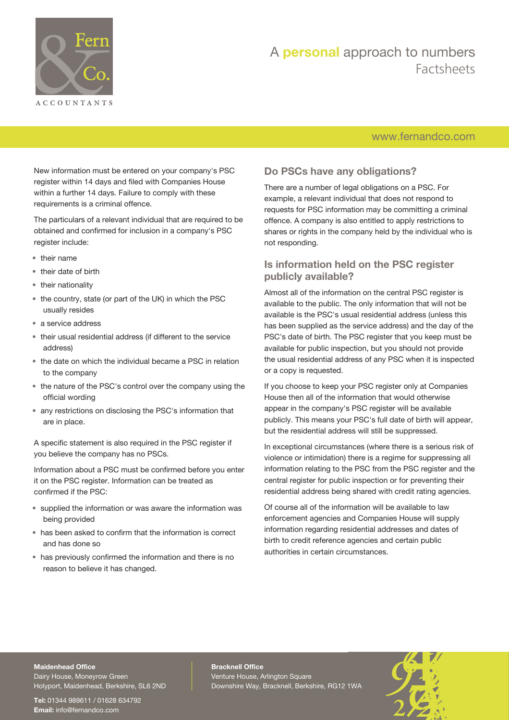

## A **personal** approach to numbers Factsheets

#### [www.fernandco.com](http://www.fernandco.com)

New information must be entered on your company's PSC register within 14 days and filed with Companies House within a further 14 days. Failure to comply with these requirements is a criminal offence.

The particulars of a relevant individual that are required to be obtained and confirmed for inclusion in a company's PSC register include:

- their name
- their date of birth
- their nationality
- the country, state (or part of the UK) in which the PSC usually resides
- a service address
- their usual residential address (if different to the service address)
- the date on which the individual became a PSC in relation to the company
- the nature of the PSC's control over the company using the official wording
- any restrictions on disclosing the PSC's information that are in place.

A specific statement is also required in the PSC register if you believe the company has no PSCs.

Information about a PSC must be confirmed before you enter it on the PSC register. Information can be treated as confirmed if the PSC:

- supplied the information or was aware the information was being provided
- has been asked to confirm that the information is correct and has done so
- has previously confirmed the information and there is no reason to believe it has changed.

#### **Do PSCs have any obligations?**

There are a number of legal obligations on a PSC. For example, a relevant individual that does not respond to requests for PSC information may be committing a criminal offence. A company is also entitled to apply restrictions to shares or rights in the company held by the individual who is not responding.

#### **Is information held on the PSC register publicly available?**

Almost all of the information on the central PSC register is available to the public. The only information that will not be available is the PSC's usual residential address (unless this has been supplied as the service address) and the day of the PSC's date of birth. The PSC register that you keep must be available for public inspection, but you should not provide the usual residential address of any PSC when it is inspected or a copy is requested.

If you choose to keep your PSC register only at Companies House then all of the information that would otherwise appear in the company's PSC register will be available publicly. This means your PSC's full date of birth will appear, but the residential address will still be suppressed.

In exceptional circumstances (where there is a serious risk of violence or intimidation) there is a regime for suppressing all information relating to the PSC from the PSC register and the central register for public inspection or for preventing their residential address being shared with credit rating agencies.

Of course all of the information will be available to law enforcement agencies and Companies House will supply information regarding residential addresses and dates of birth to credit reference agencies and certain public authorities in certain circumstances.

### **Maidenhead Office**

Dairy House, Moneyrow Green Holyport, Maidenhead, Berkshire, SL6 2ND

**Tel:** 01344 989611 / 01628 634792 **Email:** [info@fernandco.com](mailto:info@fernandco.com)

**Bracknell Office** Venture House, Arlington Square Downshire Way, Bracknell, Berkshire, RG12 1WA